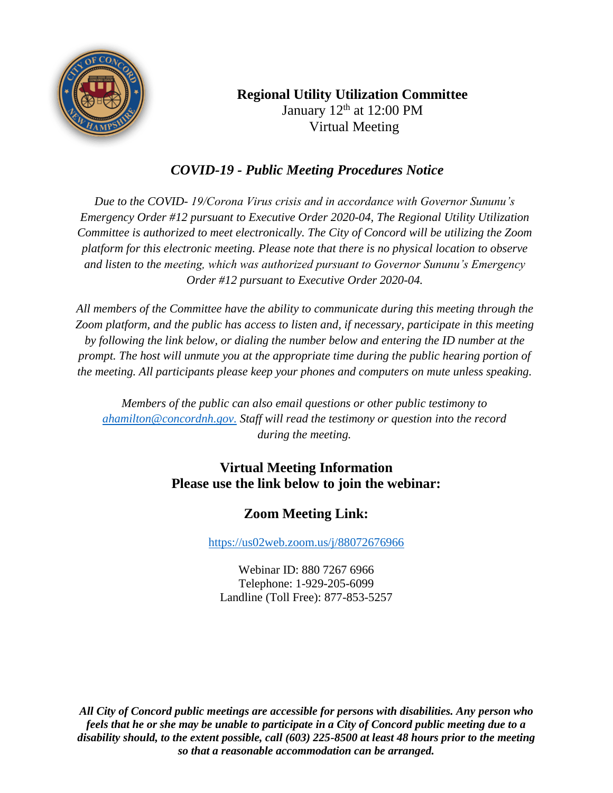

## **Regional Utility Utilization Committee** January  $12<sup>th</sup>$  at  $12:00$  PM Virtual Meeting

# *COVID-19 - Public Meeting Procedures Notice*

*Due to the COVID- 19/Corona Virus crisis and in accordance with Governor Sununu's Emergency Order #12 pursuant to Executive Order 2020-04, The Regional Utility Utilization Committee is authorized to meet electronically. The City of Concord will be utilizing the Zoom platform for this electronic meeting. Please note that there is no physical location to observe and listen to the meeting, which was authorized pursuant to Governor Sununu's Emergency Order #12 pursuant to Executive Order 2020-04.*

*All members of the Committee have the ability to communicate during this meeting through the Zoom platform, and the public has access to listen and, if necessary, participate in this meeting by following the link below, or dialing the number below and entering the ID number at the prompt. The host will unmute you at the appropriate time during the public hearing portion of the meeting. All participants please keep your phones and computers on mute unless speaking.*

*Members of the public can also email questions or other public testimony to [ahamilton@concordnh.gov.](mailto:ahamilton@concordnh.gov.) Staff will read the testimony or question into the record during the meeting.*

## **Virtual Meeting Information Please use the link below to join the webinar:**

# **Zoom Meeting Link:**

<https://us02web.zoom.us/j/88072676966>

Webinar ID: 880 7267 6966 Telephone: 1-929-205-6099 Landline (Toll Free): 877-853-5257

*All City of Concord public meetings are accessible for persons with disabilities. Any person who feels that he or she may be unable to participate in a City of Concord public meeting due to a disability should, to the extent possible, call (603) 225-8500 at least 48 hours prior to the meeting so that a reasonable accommodation can be arranged.*